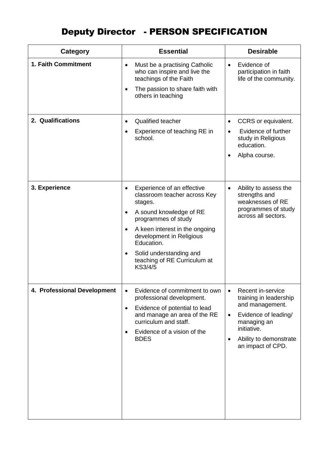## Deputy Director - PERSON SPECIFICATION

| Category                    | <b>Essential</b>                                                                                                                                                                                                                                                                                                              | <b>Desirable</b>                                                                                                                                                                 |
|-----------------------------|-------------------------------------------------------------------------------------------------------------------------------------------------------------------------------------------------------------------------------------------------------------------------------------------------------------------------------|----------------------------------------------------------------------------------------------------------------------------------------------------------------------------------|
| 1. Faith Commitment         | Must be a practising Catholic<br>$\bullet$<br>who can inspire and live the<br>teachings of the Faith<br>The passion to share faith with<br>$\bullet$<br>others in teaching                                                                                                                                                    | Evidence of<br>$\bullet$<br>participation in faith<br>life of the community.                                                                                                     |
| 2. Qualifications           | <b>Qualified teacher</b><br>$\bullet$<br>Experience of teaching RE in<br>$\bullet$<br>school.                                                                                                                                                                                                                                 | CCRS or equivalent.<br>Evidence of further<br>study in Religious<br>education.<br>Alpha course.                                                                                  |
| 3. Experience               | Experience of an effective<br>$\bullet$<br>classroom teacher across Key<br>stages.<br>A sound knowledge of RE<br>$\bullet$<br>programmes of study<br>A keen interest in the ongoing<br>$\bullet$<br>development in Religious<br>Education.<br>Solid understanding and<br>$\bullet$<br>teaching of RE Curriculum at<br>KS3/4/5 | Ability to assess the<br>$\bullet$<br>strengths and<br>weaknesses of RE<br>programmes of study<br>across all sectors.                                                            |
| 4. Professional Development | Evidence of commitment to own<br>professional development.<br>Evidence of potential to lead<br>$\bullet$<br>and manage an area of the RE<br>curriculum and staff.<br>Evidence of a vision of the<br>$\bullet$<br><b>BDES</b>                                                                                                  | Recent in-service<br>training in leadership<br>and management.<br>Evidence of leading/<br>$\bullet$<br>managing an<br>initiative.<br>Ability to demonstrate<br>an impact of CPD. |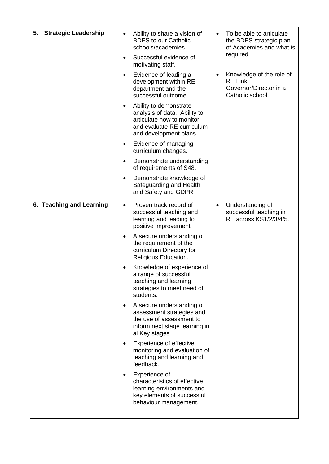| <b>Strategic Leadership</b><br>5. | Ability to share a vision of<br>$\bullet$<br><b>BDES</b> to our Catholic<br>schools/academies.<br>Successful evidence of<br>$\bullet$<br>motivating staff.<br>Evidence of leading a<br>$\bullet$<br>development within RE<br>department and the<br>successful outcome.<br>Ability to demonstrate<br>٠<br>analysis of data. Ability to<br>articulate how to monitor<br>and evaluate RE curriculum<br>and development plans.<br>Evidence of managing<br>$\bullet$<br>curriculum changes.<br>Demonstrate understanding<br>٠<br>of requirements of S48.<br>Demonstrate knowledge of<br>$\bullet$<br>Safeguarding and Health<br>and Safety and GDPR                                                                                                                                | To be able to articulate<br>$\bullet$<br>the BDES strategic plan<br>of Academies and what is<br>required<br>Knowledge of the role of<br>٠<br><b>RE Link</b><br>Governor/Director in a<br>Catholic school. |
|-----------------------------------|-------------------------------------------------------------------------------------------------------------------------------------------------------------------------------------------------------------------------------------------------------------------------------------------------------------------------------------------------------------------------------------------------------------------------------------------------------------------------------------------------------------------------------------------------------------------------------------------------------------------------------------------------------------------------------------------------------------------------------------------------------------------------------|-----------------------------------------------------------------------------------------------------------------------------------------------------------------------------------------------------------|
| 6. Teaching and Learning          | Proven track record of<br>$\bullet$<br>successful teaching and<br>learning and leading to<br>positive improvement<br>A secure understanding of<br>٠<br>the requirement of the<br>curriculum Directory for<br>Religious Education.<br>Knowledge of experience of<br>a range of successful<br>teaching and learning<br>strategies to meet need of<br>students.<br>A secure understanding of<br>$\bullet$<br>assessment strategies and<br>the use of assessment to<br>inform next stage learning in<br>al Key stages<br>Experience of effective<br>$\bullet$<br>monitoring and evaluation of<br>teaching and learning and<br>feedback.<br>Experience of<br>٠<br>characteristics of effective<br>learning environments and<br>key elements of successful<br>behaviour management. | Understanding of<br>٠<br>successful teaching in<br>RE across KS1/2/3/4/5.                                                                                                                                 |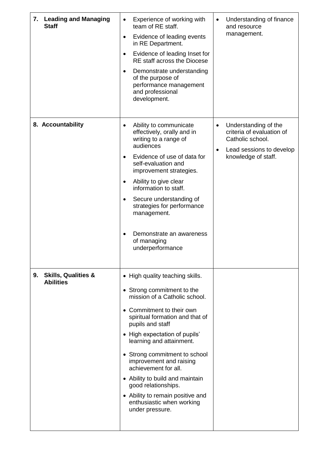| 7. Leading and Managing<br><b>Staff</b>                  | Experience of working with<br>$\bullet$<br>team of RE staff.<br>Evidence of leading events<br>$\bullet$<br>in RE Department.<br>Evidence of leading Inset for<br>$\bullet$<br>RE staff across the Diocese<br>Demonstrate understanding<br>$\bullet$<br>of the purpose of<br>performance management<br>and professional<br>development.                                                                                                                                            | Understanding of finance<br>$\bullet$<br>and resource<br>management.                                                                               |
|----------------------------------------------------------|-----------------------------------------------------------------------------------------------------------------------------------------------------------------------------------------------------------------------------------------------------------------------------------------------------------------------------------------------------------------------------------------------------------------------------------------------------------------------------------|----------------------------------------------------------------------------------------------------------------------------------------------------|
| 8. Accountability                                        | Ability to communicate<br>$\bullet$<br>effectively, orally and in<br>writing to a range of<br>audiences<br>Evidence of use of data for<br>$\bullet$<br>self-evaluation and<br>improvement strategies.<br>Ability to give clear<br>٠<br>information to staff.<br>Secure understanding of<br>$\bullet$<br>strategies for performance<br>management.<br>Demonstrate an awareness<br>of managing<br>underperformance                                                                  | Understanding of the<br>$\bullet$<br>criteria of evaluation of<br>Catholic school.<br>Lead sessions to develop<br>$\bullet$<br>knowledge of staff. |
| <b>Skills, Qualities &amp;</b><br>9.<br><b>Abilities</b> | • High quality teaching skills.<br>• Strong commitment to the<br>mission of a Catholic school.<br>• Commitment to their own<br>spiritual formation and that of<br>pupils and staff<br>• High expectation of pupils'<br>learning and attainment.<br>• Strong commitment to school<br>improvement and raising<br>achievement for all.<br>• Ability to build and maintain<br>good relationships.<br>• Ability to remain positive and<br>enthusiastic when working<br>under pressure. |                                                                                                                                                    |